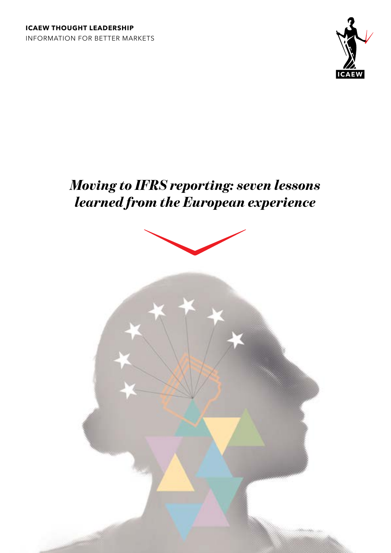

# *Moving to IFRS reporting: seven lessons learned from the European experience*

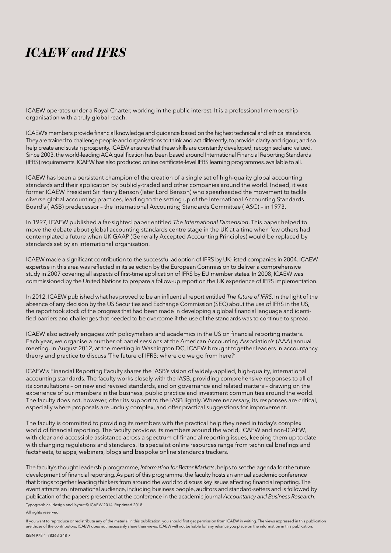# *ICAEW and IFRS*

ICAEW operates under a Royal Charter, working in the public interest. It is a professional membership organisation with a truly global reach.

ICAEW's members provide financial knowledge and guidance based on the highest technical and ethical standards. They are trained to challenge people and organisations to think and act differently, to provide clarity and rigour, and so help create and sustain prosperity. ICAEW ensures that these skills are constantly developed, recognised and valued. Since 2003, the world-leading ACA qualification has been based around International Financial Reporting Standards (IFRS) requirements. ICAEW has also produced online certificate-level IFRS learning programmes, available to all.

ICAEW has been a persistent champion of the creation of a single set of high-quality global accounting standards and their application by publicly-traded and other companies around the world. Indeed, it was former ICAEW President Sir Henry Benson (later Lord Benson) who spearheaded the movement to tackle diverse global accounting practices, leading to the setting up of the International Accounting Standards Board's (IASB) predecessor – the International Accounting Standards Committee (IASC) – in 1973.

In 1997, ICAEW published a far-sighted paper entitled *The International Dimension*. This paper helped to move the debate about global accounting standards centre stage in the UK at a time when few others had contemplated a future when UK GAAP (Generally Accepted Accounting Principles) would be replaced by standards set by an international organisation.

ICAEW made a significant contribution to the successful adoption of IFRS by UK-listed companies in 2004. ICAEW expertise in this area was reflected in its selection by the European Commission to deliver a comprehensive study in 2007 covering all aspects of first-time application of IFRS by EU member states. In 2008, ICAEW was commissioned by the United Nations to prepare a follow-up report on the UK experience of IFRS implementation.

In 2012, ICAEW published what has proved to be an influential report entitled *The future of IFRS*. In the light of the absence of any decision by the US Securities and Exchange Commission (SEC) about the use of IFRS in the US, the report took stock of the progress that had been made in developing a global financial language and identified barriers and challenges that needed to be overcome if the use of the standards was to continue to spread.

ICAEW also actively engages with policymakers and academics in the US on financial reporting matters. Each year, we organise a number of panel sessions at the American Accounting Association's (AAA) annual meeting. In August 2012, at the meeting in Washington DC, ICAEW brought together leaders in accountancy theory and practice to discuss 'The future of IFRS: where do we go from here?'

ICAEW's Financial Reporting Faculty shares the IASB's vision of widely-applied, high-quality, international accounting standards. The faculty works closely with the IASB, providing comprehensive responses to all of its consultations – on new and revised standards, and on governance and related matters – drawing on the experience of our members in the business, public practice and investment communities around the world. The faculty does not, however, offer its support to the IASB lightly. Where necessary, its responses are critical, especially where proposals are unduly complex, and offer practical suggestions for improvement.

The faculty is committed to providing its members with the practical help they need in today's complex world of financial reporting. The faculty provides its members around the world, ICAEW and non-ICAEW, with clear and accessible assistance across a spectrum of financial reporting issues, keeping them up to date with changing regulations and standards. Its specialist online resources range from technical briefings and factsheets, to apps, webinars, blogs and bespoke online standards trackers.

The faculty's thought leadership programme, *Information for Better Markets*, helps to set the agenda for the future development of financial reporting. As part of this programme, the faculty hosts an annual academic conference that brings together leading thinkers from around the world to discuss key issues affecting financial reporting. The event attracts an international audience, including business people, auditors and standard-setters and is followed by publication of the papers presented at the conference in the academic journal *Accountancy and Business Research*.

Typographical design and layout © ICAEW 2014. Reprinted 2018.

All rights reserved.

If you want to reproduce or redistribute any of the material in this publication, you should first get permission from ICAEW in writing. The views expressed in this publication are those of the contributors. ICAEW does not necessarily share their views. ICAEW will not be liable for any reliance you place on the information in this publication.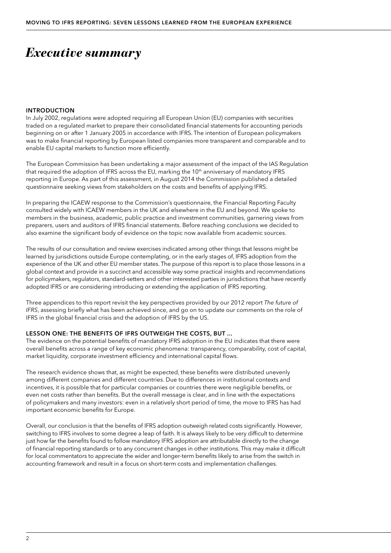# *Executive summary*

### INTRODUCTION

In July 2002, regulations were adopted requiring all European Union (EU) companies with securities traded on a regulated market to prepare their consolidated financial statements for accounting periods beginning on or after 1 January 2005 in accordance with IFRS. The intention of European policymakers was to make financial reporting by European listed companies more transparent and comparable and to enable EU capital markets to function more efficiently.

The European Commission has been undertaking a major assessment of the impact of the IAS Regulation that required the adoption of IFRS across the EU, marking the 10<sup>th</sup> anniversary of mandatory IFRS reporting in Europe. As part of this assessment, in August 2014 the Commission published a detailed questionnaire seeking views from stakeholders on the costs and benefits of applying IFRS.

In preparing the ICAEW response to the Commission's questionnaire, the Financial Reporting Faculty consulted widely with ICAEW members in the UK and elsewhere in the EU and beyond. We spoke to members in the business, academic, public practice and investment communities, garnering views from preparers, users and auditors of IFRS financial statements. Before reaching conclusions we decided to also examine the significant body of evidence on the topic now available from academic sources.

The results of our consultation and review exercises indicated among other things that lessons might be learned by jurisdictions outside Europe contemplating, or in the early stages of, IFRS adoption from the experience of the UK and other EU member states. The purpose of this report is to place those lessons in a global context and provide in a succinct and accessible way some practical insights and recommendations for policymakers, regulators, standard-setters and other interested parties in jurisdictions that have recently adopted IFRS or are considering introducing or extending the application of IFRS reporting.

Three appendices to this report revisit the key perspectives provided by our 2012 report *The future of IFRS*, assessing briefly what has been achieved since, and go on to update our comments on the role of IFRS in the global financial crisis and the adoption of IFRS by the US.

### LESSON ONE: THE BENEFITS OF IFRS OUTWEIGH THE COSTS, BUT ...

The evidence on the potential benefits of mandatory IFRS adoption in the EU indicates that there were overall benefits across a range of key economic phenomena: transparency, comparability, cost of capital, market liquidity, corporate investment efficiency and international capital flows.

The research evidence shows that, as might be expected, these benefits were distributed unevenly among different companies and different countries. Due to differences in institutional contexts and incentives, it is possible that for particular companies or countries there were negligible benefits, or even net costs rather than benefits. But the overall message is clear, and in line with the expectations of policymakers and many investors: even in a relatively short period of time, the move to IFRS has had important economic benefits for Europe.

Overall, our conclusion is that the benefits of IFRS adoption outweigh related costs significantly. However, switching to IFRS involves to some degree a leap of faith. It is always likely to be very difficult to determine just how far the benefits found to follow mandatory IFRS adoption are attributable directly to the change of financial reporting standards or to any concurrent changes in other institutions. This may make it difficult for local commentators to appreciate the wider and longer-term benefits likely to arise from the switch in accounting framework and result in a focus on short-term costs and implementation challenges.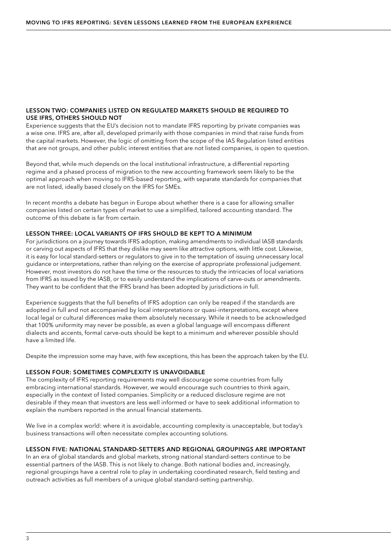### LESSON TWO: COMPANIES LISTED ON REGULATED MARKETS SHOULD BE REQUIRED TO USE IFRS, OTHERS SHOULD NOT

Experience suggests that the EU's decision not to mandate IFRS reporting by private companies was a wise one. IFRS are, after all, developed primarily with those companies in mind that raise funds from the capital markets. However, the logic of omitting from the scope of the IAS Regulation listed entities that are not groups, and other public interest entities that are not listed companies, is open to question.

Beyond that, while much depends on the local institutional infrastructure, a differential reporting regime and a phased process of migration to the new accounting framework seem likely to be the optimal approach when moving to IFRS-based reporting, with separate standards for companies that are not listed, ideally based closely on the IFRS for SMEs.

In recent months a debate has begun in Europe about whether there is a case for allowing smaller companies listed on certain types of market to use a simplified, tailored accounting standard. The outcome of this debate is far from certain.

### LESSON THREE: LOCAL VARIANTS OF IFRS SHOULD BE KEPT TO A MINIMUM

For jurisdictions on a journey towards IFRS adoption, making amendments to individual IASB standards or carving out aspects of IFRS that they dislike may seem like attractive options, with little cost. Likewise, it is easy for local standard-setters or regulators to give in to the temptation of issuing unnecessary local guidance or interpretations, rather than relying on the exercise of appropriate professional judgement. However, most investors do not have the time or the resources to study the intricacies of local variations from IFRS as issued by the IASB, or to easily understand the implications of carve-outs or amendments. They want to be confident that the IFRS brand has been adopted by jurisdictions in full.

Experience suggests that the full benefits of IFRS adoption can only be reaped if the standards are adopted in full and not accompanied by local interpretations or quasi-interpretations, except where local legal or cultural differences make them absolutely necessary. While it needs to be acknowledged that 100% uniformity may never be possible, as even a global language will encompass different dialects and accents, formal carve-outs should be kept to a minimum and wherever possible should have a limited life.

Despite the impression some may have, with few exceptions, this has been the approach taken by the EU.

### LESSON FOUR: SOMETIMES COMPLEXITY IS UNAVOIDABLE

The complexity of IFRS reporting requirements may well discourage some countries from fully embracing international standards. However, we would encourage such countries to think again, especially in the context of listed companies. Simplicity or a reduced disclosure regime are not desirable if they mean that investors are less well informed or have to seek additional information to explain the numbers reported in the annual financial statements.

We live in a complex world: where it is avoidable, accounting complexity is unacceptable, but today's business transactions will often necessitate complex accounting solutions.

### LESSON FIVE: NATIONAL STANDARD-SETTERS AND REGIONAL GROUPINGS ARE IMPORTANT

In an era of global standards and global markets, strong national standard-setters continue to be essential partners of the IASB. This is not likely to change. Both national bodies and, increasingly, regional groupings have a central role to play in undertaking coordinated research, field testing and outreach activities as full members of a unique global standard-setting partnership.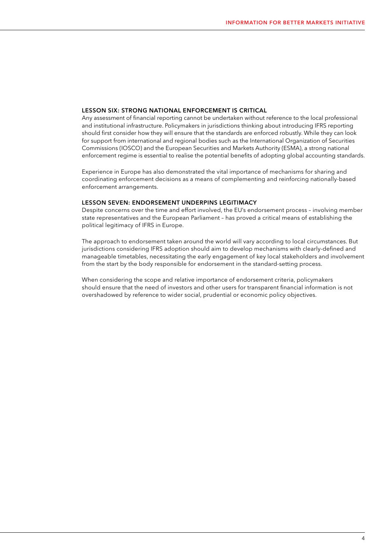### LESSON SIX: STRONG NATIONAL ENFORCEMENT IS CRITICAL

Any assessment of financial reporting cannot be undertaken without reference to the local professional and institutional infrastructure. Policymakers in jurisdictions thinking about introducing IFRS reporting should first consider how they will ensure that the standards are enforced robustly. While they can look for support from international and regional bodies such as the International Organization of Securities Commissions (IOSCO) and the European Securities and Markets Authority (ESMA), a strong national enforcement regime is essential to realise the potential benefits of adopting global accounting standards.

Experience in Europe has also demonstrated the vital importance of mechanisms for sharing and coordinating enforcement decisions as a means of complementing and reinforcing nationally-based enforcement arrangements.

#### LESSON SEVEN: ENDORSEMENT UNDERPINS LEGITIMACY

Despite concerns over the time and effort involved, the EU's endorsement process – involving member state representatives and the European Parliament – has proved a critical means of establishing the political legitimacy of IFRS in Europe.

The approach to endorsement taken around the world will vary according to local circumstances. But jurisdictions considering IFRS adoption should aim to develop mechanisms with clearly-defined and manageable timetables, necessitating the early engagement of key local stakeholders and involvement from the start by the body responsible for endorsement in the standard-setting process.

When considering the scope and relative importance of endorsement criteria, policymakers should ensure that the need of investors and other users for transparent financial information is not overshadowed by reference to wider social, prudential or economic policy objectives.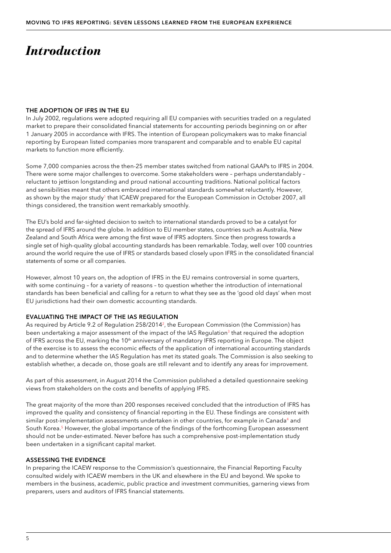# *Introduction*

### THE ADOPTION OF IFRS IN THE EU

In July 2002, regulations were adopted requiring all EU companies with securities traded on a regulated market to prepare their consolidated financial statements for accounting periods beginning on or after 1 January 2005 in accordance with IFRS. The intention of European policymakers was to make financial reporting by European listed companies more transparent and comparable and to enable EU capital markets to function more efficiently.

Some 7,000 companies across the then-25 member states switched from national GAAPs to IFRS in 2004. There were some major challenges to overcome. Some stakeholders were – perhaps understandably – reluctant to jettison longstanding and proud national accounting traditions. National political factors and sensibilities meant that others embraced international standards somewhat reluctantly. However, as shown by the major study<sup>1</sup> that ICAEW prepared for the European Commission in October 2007, all things considered, the transition went remarkably smoothly.

The EU's bold and far-sighted decision to switch to international standards proved to be a catalyst for the spread of IFRS around the globe. In addition to EU member states, countries such as Australia, New Zealand and South Africa were among the first wave of IFRS adopters. Since then progress towards a single set of high-quality global accounting standards has been remarkable. Today, well over 100 countries around the world require the use of IFRS or standards based closely upon IFRS in the consolidated financial statements of some or all companies.

However, almost 10 years on, the adoption of IFRS in the EU remains controversial in some quarters, with some continuing – for a variety of reasons – to question whether the introduction of international standards has been beneficial and calling for a return to what they see as the 'good old days' when most EU jurisdictions had their own domestic accounting standards.

### EVALUATING THE IMPACT OF THE IAS REGULATION

As required by Article 9.2 of Regulation  $258/2014^2$ , the European Commission (the Commission) has been undertaking a major assessment of the impact of the IAS Regulation<sup>3</sup> that required the adoption of IFRS across the EU, marking the 10<sup>th</sup> anniversary of mandatory IFRS reporting in Europe. The object of the exercise is to assess the economic effects of the application of international accounting standards and to determine whether the IAS Regulation has met its stated goals. The Commission is also seeking to establish whether, a decade on, those goals are still relevant and to identify any areas for improvement.

As part of this assessment, in August 2014 the Commission published a detailed questionnaire seeking views from stakeholders on the costs and benefits of applying IFRS.

The great majority of the more than 200 responses received concluded that the introduction of IFRS has improved the quality and consistency of financial reporting in the EU. These findings are consistent with similar post-implementation assessments undertaken in other countries, for example in Canada<sup>4</sup> and South Korea.<sup>5</sup> However, the global importance of the findings of the forthcoming European assessment should not be under-estimated. Never before has such a comprehensive post-implementation study been undertaken in a significant capital market.

### ASSESSING THE EVIDENCE

In preparing the ICAEW response to the Commission's questionnaire, the Financial Reporting Faculty consulted widely with ICAEW members in the UK and elsewhere in the EU and beyond. We spoke to members in the business, academic, public practice and investment communities, garnering views from preparers, users and auditors of IFRS financial statements.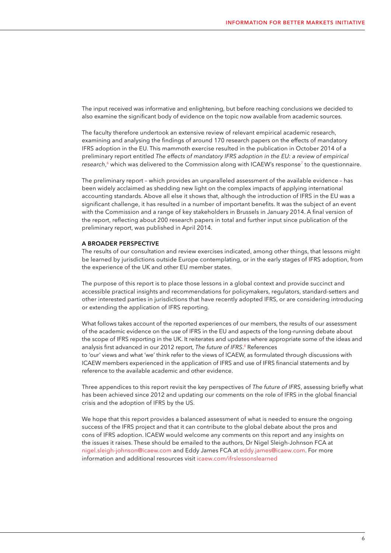The input received was informative and enlightening, but before reaching conclusions we decided to also examine the significant body of evidence on the topic now available from academic sources.

The faculty therefore undertook an extensive review of relevant empirical academic research, examining and analysing the findings of around 170 research papers on the effects of mandatory IFRS adoption in the EU. This mammoth exercise resulted in the publication in October 2014 of a preliminary report entitled *The effects of mandatory IFRS adoption in the EU: a review of [empirical](#page-30-0)  [research](#page-30-0)*, 6 which was delivered to the Commission along with ICAEW's [response7](#page-30-0) to the questionnaire.

The preliminary report – which provides an unparalleled assessment of the available evidence – has been widely acclaimed as shedding new light on the complex impacts of applying international accounting standards. Above all else it shows that, although the introduction of IFRS in the EU was a significant challenge, it has resulted in a number of important benefits. It was the subject of an event with the Commission and a range of key stakeholders in Brussels in January 2014. A final version of the report, reflecting about 200 research papers in total and further input since publication of the preliminary report, was published in April 2014.

#### A BROADER PERSPECTIVE

The results of our consultation and review exercises indicated, among other things, that lessons might be learned by jurisdictions outside Europe contemplating, or in the early stages of IFRS adoption, from the experience of the UK and other EU member states.

The purpose of this report is to place those lessons in a global context and provide succinct and accessible practical insights and recommendations for policymakers, regulators, standard-setters and other interested parties in jurisdictions that have recently adopted IFRS, or are considering introducing or extending the application of IFRS reporting.

What follows takes account of the reported experiences of our members, the results of our assessment of the academic evidence on the use of IFRS in the EU and aspects of the long-running debate about the scope of IFRS reporting in the UK. It reiterates and updates where appropriate some of the ideas and analysis first advanced in our 2012 report, *[The future of IFRS](#page-30-0)*. 8 References to 'our' views and what 'we' think refer to the views of ICAEW, as formulated through discussions with ICAEW members experienced in the application of IFRS and use of IFRS financial statements and by reference to the available academic and other evidence.

Three appendices to this report revisit the key perspectives of *The future of IFRS*, assessing briefly what has been achieved since 2012 and updating our comments on the role of IFRS in the global financial crisis and the adoption of IFRS by the US.

We hope that this report provides a balanced assessment of what is needed to ensure the ongoing success of the IFRS project and that it can contribute to the global debate about the pros and cons of IFRS adoption. ICAEW would welcome any comments on this report and any insights on the issues it raises. These should be emailed to the authors, Dr Nigel Sleigh-Johnson FCA at [nigel.sleigh-johnson@icaew.com](mailto:nigel.sleigh-johnson%40icaew.com?subject=) and Eddy James FCA at [eddy.james@icaew.com.](mailto:eddy.james%40icaew.com?subject=) For more information and additional resources visit [icaew.com/ifrslessonslearned](https://www.icaew.com/technical/financial-reporting/ifrs/ifrs-lessons-learned)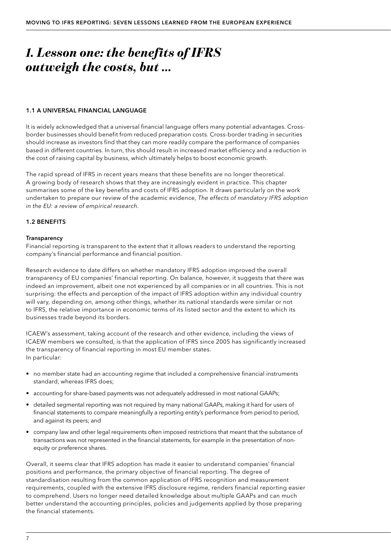# *1. Lesson one: the benefits of IFRS outweigh the costs, but …*

### 1.1 A UNIVERSAL FINANCIAL LANGUAGE

It is widely acknowledged that a universal financial language offers many potential advantages. Crossborder businesses should benefit from reduced preparation costs. Cross-border trading in securities should increase as investors find that they can more readily compare the performance of companies based in different countries. In turn, this should result in increased market efficiency and a reduction in the cost of raising capital by business, which ultimately helps to boost economic growth.

The rapid spread of IFRS in recent years means that these benefits are no longer theoretical. A growing body of research shows that they are increasingly evident in practice. This chapter summarises some of the key benefits and costs of IFRS adoption. It draws particularly on the work undertaken to prepare our review of the academic evidence, *The effects of mandatory IFRS adoption in the EU: a review of empirical research.*

### 1.2 BENEFITS

### **Transparency**

Financial reporting is transparent to the extent that it allows readers to understand the reporting company's financial performance and financial position.

Research evidence to date differs on whether mandatory IFRS adoption improved the overall transparency of EU companies' financial reporting. On balance, however, it suggests that there was indeed an improvement, albeit one not experienced by all companies or in all countries. This is not surprising: the effects and perception of the impact of IFRS adoption within any individual country will vary, depending on, among other things, whether its national standards were similar or not to IFRS, the relative importance in economic terms of its listed sector and the extent to which its businesses trade beyond its borders.

ICAEW's assessment, taking account of the research and other evidence, including the views of ICAEW members we consulted, is that the application of IFRS since 2005 has significantly increased the transparency of financial reporting in most EU member states. In particular:

- no member state had an accounting regime that included a comprehensive financial instruments standard, whereas IFRS does;
- accounting for share-based payments was not adequately addressed in most national GAAPs;
- detailed segmental reporting was not required by many national GAAPs, making it hard for users of financial statements to compare meaningfully a reporting entity's performance from period to period, and against its peers; and
- company law and other legal requirements often imposed restrictions that meant that the substance of transactions was not represented in the financial statements, for example in the presentation of nonequity or preference shares.

Overall, it seems clear that IFRS adoption has made it easier to understand companies' financial positions and performance, the primary objective of financial reporting. The degree of standardisation resulting from the common application of IFRS recognition and measurement requirements, coupled with the extensive IFRS disclosure regime, renders financial reporting easier to comprehend. Users no longer need detailed knowledge about multiple GAAPs and can much better understand the accounting principles, policies and judgements applied by those preparing the financial statements.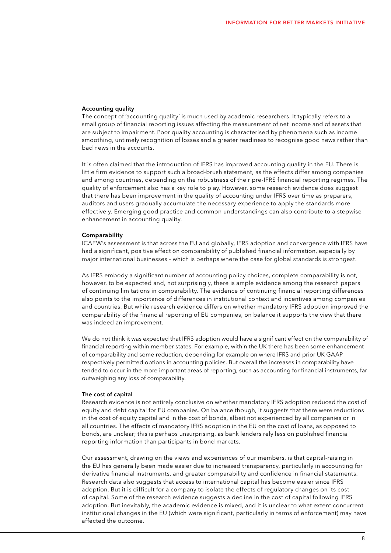### Accounting quality

The concept of 'accounting quality' is much used by academic researchers. It typically refers to a small group of financial reporting issues affecting the measurement of net income and of assets that are subject to impairment. Poor quality accounting is characterised by phenomena such as income smoothing, untimely recognition of losses and a greater readiness to recognise good news rather than bad news in the accounts.

It is often claimed that the introduction of IFRS has improved accounting quality in the EU. There is little firm evidence to support such a broad-brush statement, as the effects differ among companies and among countries, depending on the robustness of their pre-IFRS financial reporting regimes. The quality of enforcement also has a key role to play. However, some research evidence does suggest that there has been improvement in the quality of accounting under IFRS over time as preparers, auditors and users gradually accumulate the necessary experience to apply the standards more effectively. Emerging good practice and common understandings can also contribute to a stepwise enhancement in accounting quality.

#### Comparability

ICAEW's assessment is that across the EU and globally, IFRS adoption and convergence with IFRS have had a significant, positive effect on comparability of published financial information, especially by major international businesses – which is perhaps where the case for global standards is strongest.

As IFRS embody a significant number of accounting policy choices, complete comparability is not, however, to be expected and, not surprisingly, there is ample evidence among the research papers of continuing limitations in comparability. The evidence of continuing financial reporting differences also points to the importance of differences in institutional context and incentives among companies and countries. But while research evidence differs on whether mandatory IFRS adoption improved the comparability of the financial reporting of EU companies, on balance it supports the view that there was indeed an improvement.

We do not think it was expected that IFRS adoption would have a significant effect on the comparability of financial reporting within member states. For example, within the UK there has been some enhancement of comparability and some reduction, depending for example on where IFRS and prior UK GAAP respectively permitted options in accounting policies. But overall the increases in comparability have tended to occur in the more important areas of reporting, such as accounting for financial instruments, far outweighing any loss of comparability.

#### The cost of capital

Research evidence is not entirely conclusive on whether mandatory IFRS adoption reduced the cost of equity and debt capital for EU companies. On balance though, it suggests that there were reductions in the cost of equity capital and in the cost of bonds, albeit not experienced by all companies or in all countries. The effects of mandatory IFRS adoption in the EU on the cost of loans, as opposed to bonds, are unclear; this is perhaps unsurprising, as bank lenders rely less on published financial reporting information than participants in bond markets.

Our assessment, drawing on the views and experiences of our members, is that capital-raising in the EU has generally been made easier due to increased transparency, particularly in accounting for derivative financial instruments, and greater comparability and confidence in financial statements. Research data also suggests that access to international capital has become easier since IFRS adoption. But it is difficult for a company to isolate the effects of regulatory changes on its cost of capital. Some of the research evidence suggests a decline in the cost of capital following IFRS adoption. But inevitably, the academic evidence is mixed, and it is unclear to what extent concurrent institutional changes in the EU (which were significant, particularly in terms of enforcement) may have affected the outcome.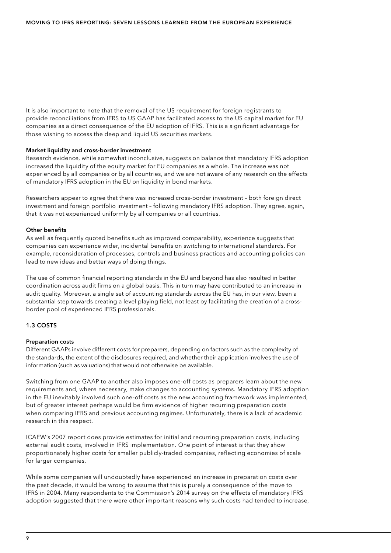It is also important to note that the removal of the US requirement for foreign registrants to provide reconciliations from IFRS to US GAAP has facilitated access to the US capital market for EU companies as a direct consequence of the EU adoption of IFRS. This is a significant advantage for those wishing to access the deep and liquid US securities markets.

### Market liquidity and cross-border investment

Research evidence, while somewhat inconclusive, suggests on balance that mandatory IFRS adoption increased the liquidity of the equity market for EU companies as a whole. The increase was not experienced by all companies or by all countries, and we are not aware of any research on the effects of mandatory IFRS adoption in the EU on liquidity in bond markets.

Researchers appear to agree that there was increased cross-border investment – both foreign direct investment and foreign portfolio investment – following mandatory IFRS adoption. They agree, again, that it was not experienced uniformly by all companies or all countries.

### Other benefits

As well as frequently quoted benefits such as improved comparability, experience suggests that companies can experience wider, incidental benefits on switching to international standards. For example, reconsideration of processes, controls and business practices and accounting policies can lead to new ideas and better ways of doing things.

The use of common financial reporting standards in the EU and beyond has also resulted in better coordination across audit firms on a global basis. This in turn may have contributed to an increase in audit quality. Moreover, a single set of accounting standards across the EU has, in our view, been a substantial step towards creating a level playing field, not least by facilitating the creation of a crossborder pool of experienced IFRS professionals.

### 1.3 COSTS

### Preparation costs

Different GAAPs involve different costs for preparers, depending on factors such as the complexity of the standards, the extent of the disclosures required, and whether their application involves the use of information (such as valuations) that would not otherwise be available.

Switching from one GAAP to another also imposes one-off costs as preparers learn about the new requirements and, where necessary, make changes to accounting systems. Mandatory IFRS adoption in the EU inevitably involved such one-off costs as the new accounting framework was implemented, but of greater interest perhaps would be firm evidence of higher recurring preparation costs when comparing IFRS and previous accounting regimes. Unfortunately, there is a lack of academic research in this respect.

ICAEW's 2007 report does provide estimates for initial and recurring preparation costs, including external audit costs, involved in IFRS implementation. One point of interest is that they show proportionately higher costs for smaller publicly-traded companies, reflecting economies of scale for larger companies.

While some companies will undoubtedly have experienced an increase in preparation costs over the past decade, it would be wrong to assume that this is purely a consequence of the move to IFRS in 2004. Many respondents to the Commission's 2014 survey on the effects of mandatory IFRS adoption suggested that there were other important reasons why such costs had tended to increase,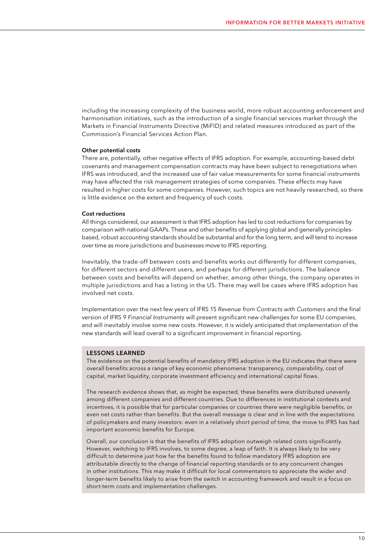including the increasing complexity of the business world, more robust accounting enforcement and harmonisation initiatives, such as the introduction of a single financial services market through the Markets in Financial Instruments Directive (MiFID) and related measures introduced as part of the Commission's Financial Services Action Plan.

### Other potential costs

There are, potentially, other negative effects of IFRS adoption. For example, accounting-based debt covenants and management compensation contracts may have been subject to renegotiations when IFRS was introduced, and the increased use of fair value measurements for some financial instruments may have affected the risk management strategies of some companies. These effects may have resulted in higher costs for some companies. However, such topics are not heavily researched, so there is little evidence on the extent and frequency of such costs.

#### Cost reductions

All things considered, our assessment is that IFRS adoption has led to cost reductions for companies by comparison with national GAAPs. These and other benefits of applying global and generally principlesbased, robust accounting standards should be substantial and for the long term, and will tend to increase over time as more jurisdictions and businesses move to IFRS reporting.

Inevitably, the trade-off between costs and benefits works out differently for different companies, for different sectors and different users, and perhaps for different jurisdictions. The balance between costs and benefits will depend on whether, among other things, the company operates in multiple jurisdictions and has a listing in the US. There may well be cases where IFRS adoption has involved net costs.

Implementation over the next few years of IFRS 15 *Revenue from Contracts with Customers* and the final version of IFRS 9 *Financial Instruments* will present significant new challenges for some EU companies, and will inevitably involve some new costs. However, it is widely anticipated that implementation of the new standards will lead overall to a significant improvement in financial reporting.

### LESSONS LEARNED

The evidence on the potential benefits of mandatory IFRS adoption in the EU indicates that there were overall benefits across a range of key economic phenomena: transparency, comparability, cost of capital, market liquidity, corporate investment efficiency and international capital flows.

The research evidence shows that, as might be expected, these benefits were distributed unevenly among different companies and different countries. Due to differences in institutional contexts and incentives, it is possible that for particular companies or countries there were negligible benefits, or even net costs rather than benefits. But the overall message is clear and in line with the expectations of policymakers and many investors: even in a relatively short period of time, the move to IFRS has had important economic benefits for Europe.

Overall, our conclusion is that the benefits of IFRS adoption outweigh related costs significantly. However, switching to IFRS involves, to some degree, a leap of faith. It is always likely to be very difficult to determine just how far the benefits found to follow mandatory IFRS adoption are attributable directly to the change of financial reporting standards or to any concurrent changes in other institutions. This may make it difficult for local commentators to appreciate the wider and longer-term benefits likely to arise from the switch in accounting framework and result in a focus on short-term costs and implementation challenges.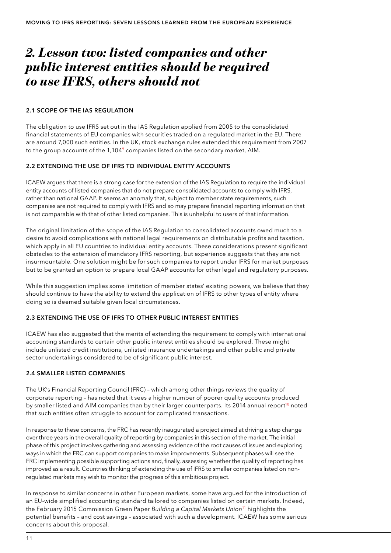# *2. Lesson two: listed companies and other public interest entities should be required to use IFRS, others should not*

### 2.1 SCOPE OF THE IAS REGULATION

The obligation to use IFRS set out in the IAS Regulation applied from 2005 to the consolidated financial statements of EU companies with securities traded on a regulated market in the EU. There are around 7,000 such entities. In the UK, stock exchange rules extended this requirement from 2007 to the group accounts of the 1,104<sup>9</sup> companies listed on the secondary market, AIM.

### 2.2 EXTENDING THE USE OF IFRS TO INDIVIDUAL ENTITY ACCOUNTS

ICAEW argues that there is a strong case for the extension of the IAS Regulation to require the individual entity accounts of listed companies that do not prepare consolidated accounts to comply with IFRS, rather than national GAAP. It seems an anomaly that, subject to member state requirements, such companies are not required to comply with IFRS and so may prepare financial reporting information that is not comparable with that of other listed companies. This is unhelpful to users of that information.

The original limitation of the scope of the IAS Regulation to consolidated accounts owed much to a desire to avoid complications with national legal requirements on distributable profits and taxation, which apply in all EU countries to individual entity accounts. These considerations present significant obstacles to the extension of mandatory IFRS reporting, but experience suggests that they are not insurmountable. One solution might be for such companies to report under IFRS for market purposes but to be granted an option to prepare local GAAP accounts for other legal and regulatory purposes.

While this suggestion implies some limitation of member states' existing powers, we believe that they should continue to have the ability to extend the application of IFRS to other types of entity where doing so is deemed suitable given local circumstances.

## 2.3 EXTENDING THE USE OF IFRS TO OTHER PUBLIC INTEREST ENTITIES

ICAEW has also suggested that the merits of extending the requirement to comply with international accounting standards to certain other public interest entities should be explored. These might include unlisted credit institutions, unlisted insurance undertakings and other public and private sector undertakings considered to be of significant public interest.

### 2.4 SMALLER LISTED COMPANIES

The UK's Financial Reporting Council (FRC) – which among other things reviews the quality of corporate reporting – has noted that it sees a higher number of poorer quality accounts produced by smaller listed and AIM companies than by their larger counterparts. Its 2014 annual report<sup>10</sup> noted that such entities often struggle to account for complicated transactions.

In response to these concerns, the FRC has recently inaugurated a project aimed at driving a step change over three years in the overall quality of reporting by companies in this section of the market. The initial phase of this project involves gathering and assessing evidence of the root causes of issues and exploring ways in which the FRC can support companies to make improvements. Subsequent phases will see the FRC implementing possible supporting actions and, finally, assessing whether the quality of reporting has improved as a result. Countries thinking of extending the use of IFRS to smaller companies listed on nonregulated markets may wish to monitor the progress of this ambitious project.

In response to similar concerns in other European markets, some have argued for the introduction of an EU-wide simplified accounting standard tailored to companies listed on certain markets. Indeed, the February 2015 Commission Green Paper *[Building a Capital Markets Union](#page-30-0)*11 highlights the potential benefits – and cost savings – associated with such a development. ICAEW has some serious concerns about this proposal.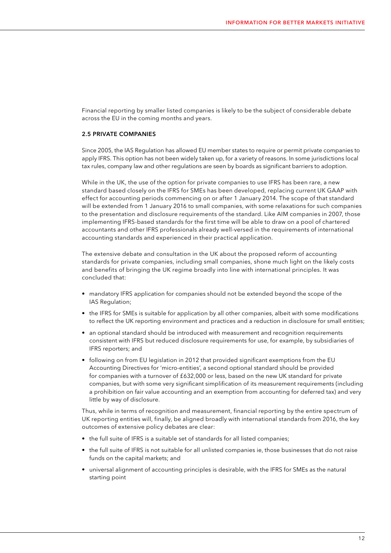Financial reporting by smaller listed companies is likely to be the subject of considerable debate across the EU in the coming months and years.

### 2.5 PRIVATE COMPANIES

Since 2005, the IAS Regulation has allowed EU member states to require or permit private companies to apply IFRS. This option has not been widely taken up, for a variety of reasons. In some jurisdictions local tax rules, company law and other regulations are seen by boards as significant barriers to adoption.

While in the UK, the use of the option for private companies to use IFRS has been rare, a new standard based closely on the IFRS for SMEs has been developed, replacing current UK GAAP with effect for accounting periods commencing on or after 1 January 2014. The scope of that standard will be extended from 1 January 2016 to small companies, with some relaxations for such companies to the presentation and disclosure requirements of the standard. Like AIM companies in 2007, those implementing IFRS-based standards for the first time will be able to draw on a pool of chartered accountants and other IFRS professionals already well-versed in the requirements of international accounting standards and experienced in their practical application.

The extensive debate and consultation in the UK about the proposed reform of accounting standards for private companies, including small companies, shone much light on the likely costs and benefits of bringing the UK regime broadly into line with international principles. It was concluded that:

- mandatory IFRS application for companies should not be extended beyond the scope of the IAS Regulation;
- the IFRS for SMEs is suitable for application by all other companies, albeit with some modifications to reflect the UK reporting environment and practices and a reduction in disclosure for small entities;
- an optional standard should be introduced with measurement and recognition requirements consistent with IFRS but reduced disclosure requirements for use, for example, by subsidiaries of IFRS reporters; and
- following on from EU legislation in 2012 that provided significant exemptions from the EU Accounting Directives for 'micro-entities', a second optional standard should be provided for companies with a turnover of £632,000 or less, based on the new UK standard for private companies, but with some very significant simplification of its measurement requirements (including a prohibition on fair value accounting and an exemption from accounting for deferred tax) and very little by way of disclosure.

Thus, while in terms of recognition and measurement, financial reporting by the entire spectrum of UK reporting entities will, finally, be aligned broadly with international standards from 2016, the key outcomes of extensive policy debates are clear:

- the full suite of IFRS is a suitable set of standards for all listed companies;
- the full suite of IFRS is not suitable for all unlisted companies ie, those businesses that do not raise funds on the capital markets; and
- universal alignment of accounting principles is desirable, with the IFRS for SMEs as the natural starting point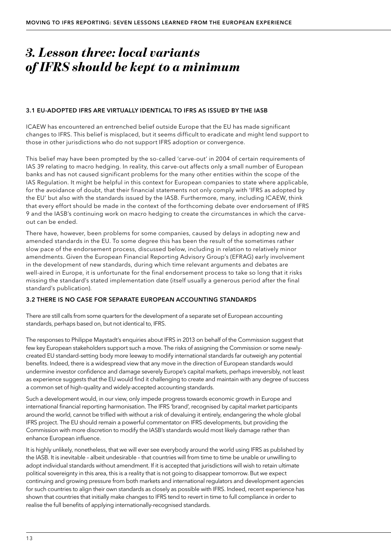# *3. Lesson three: local variants of IFRS should be kept to a minimum*

### 3.1 EU-ADOPTED IFRS ARE VIRTUALLY IDENTICAL TO IFRS AS ISSUED BY THE IASB

ICAEW has encountered an entrenched belief outside Europe that the EU has made significant changes to IFRS. This belief is misplaced, but it seems difficult to eradicate and might lend support to those in other jurisdictions who do not support IFRS adoption or convergence.

This belief may have been prompted by the so-called 'carve-out' in 2004 of certain requirements of IAS 39 relating to macro hedging. In reality, this carve-out affects only a small number of European banks and has not caused significant problems for the many other entities within the scope of the IAS Regulation. It might be helpful in this context for European companies to state where applicable, for the avoidance of doubt, that their financial statements not only comply with 'IFRS as adopted by the EU' but also with the standards issued by the IASB. Furthermore, many, including ICAEW, think that every effort should be made in the context of the forthcoming debate over endorsement of IFRS 9 and the IASB's continuing work on macro hedging to create the circumstances in which the carveout can be ended.

There have, however, been problems for some companies, caused by delays in adopting new and amended standards in the EU. To some degree this has been the result of the sometimes rather slow pace of the endorsement process, discussed below, including in relation to relatively minor amendments. Given the European Financial Reporting Advisory Group's (EFRAG) early involvement in the development of new standards, during which time relevant arguments and debates are well-aired in Europe, it is unfortunate for the final endorsement process to take so long that it risks missing the standard's stated implementation date (itself usually a generous period after the final standard's publication).

### 3.2 THERE IS NO CASE FOR SEPARATE EUROPEAN ACCOUNTING STANDARDS

There are still calls from some quarters for the development of a separate set of European accounting standards, perhaps based on, but not identical to, IFRS.

The responses to Philippe Maystadt's enquiries about IFRS in 2013 on behalf of the Commission suggest that few key European stakeholders support such a move. The risks of assigning the Commission or some newlycreated EU standard-setting body more leeway to modify international standards far outweigh any potential benefits. Indeed, there is a widespread view that any move in the direction of European standards would undermine investor confidence and damage severely Europe's capital markets, perhaps irreversibly, not least as experience suggests that the EU would find it challenging to create and maintain with any degree of success a common set of high-quality and widely-accepted accounting standards.

Such a development would, in our view, only impede progress towards economic growth in Europe and international financial reporting harmonisation. The IFRS 'brand', recognised by capital market participants around the world, cannot be trifled with without a risk of devaluing it entirely, endangering the whole global IFRS project. The EU should remain a powerful commentator on IFRS developments, but providing the Commission with more discretion to modify the IASB's standards would most likely damage rather than enhance European influence.

It is highly unlikely, nonetheless, that we will ever see everybody around the world using IFRS as published by the IASB. It is inevitable – albeit undesirable – that countries will from time to time be unable or unwilling to adopt individual standards without amendment. If it is accepted that jurisdictions will wish to retain ultimate political sovereignty in this area, this is a reality that is not going to disappear tomorrow. But we expect continuing and growing pressure from both markets and international regulators and development agencies for such countries to align their own standards as closely as possible with IFRS. Indeed, recent experience has shown that countries that initially make changes to IFRS tend to revert in time to full compliance in order to realise the full benefits of applying internationally-recognised standards.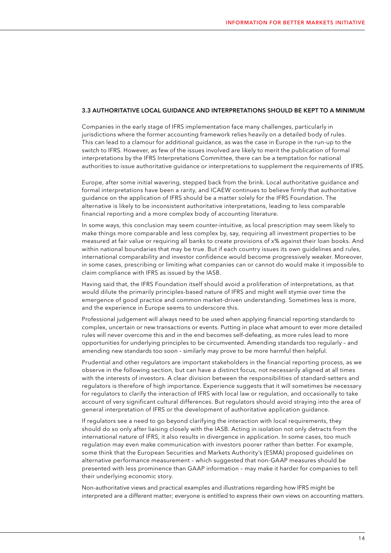### 3.3 AUTHORITATIVE LOCAL GUIDANCE AND INTERPRETATIONS SHOULD BE KEPT TO A MINIMUM

Companies in the early stage of IFRS implementation face many challenges, particularly in jurisdictions where the former accounting framework relies heavily on a detailed body of rules. This can lead to a clamour for additional guidance, as was the case in Europe in the run-up to the switch to IFRS. However, as few of the issues involved are likely to merit the publication of formal interpretations by the IFRS Interpretations Committee, there can be a temptation for national authorities to issue authoritative guidance or interpretations to supplement the requirements of IFRS.

Europe, after some initial wavering, stepped back from the brink. Local authoritative guidance and formal interpretations have been a rarity, and ICAEW continues to believe firmly that authoritative guidance on the application of IFRS should be a matter solely for the IFRS Foundation. The alternative is likely to be inconsistent authoritative interpretations, leading to less comparable financial reporting and a more complex body of accounting literature.

In some ways, this conclusion may seem counter-intuitive, as local prescription may seem likely to make things more comparable and less complex by, say, requiring all investment properties to be measured at fair value or requiring all banks to create provisions of x% against their loan books. And within national boundaries that may be true. But if each country issues its own guidelines and rules, international comparability and investor confidence would become progressively weaker. Moreover, in some cases, prescribing or limiting what companies can or cannot do would make it impossible to claim compliance with IFRS as issued by the IASB.

Having said that, the IFRS Foundation itself should avoid a proliferation of interpretations, as that would dilute the primarily principles-based nature of IFRS and might well stymie over time the emergence of good practice and common market-driven understanding. Sometimes less is more, and the experience in Europe seems to underscore this.

Professional judgement will always need to be used when applying financial reporting standards to complex, uncertain or new transactions or events. Putting in place what amount to ever more detailed rules will never overcome this and in the end becomes self-defeating, as more rules lead to more opportunities for underlying principles to be circumvented. Amending standards too regularly – and amending new standards too soon – similarly may prove to be more harmful then helpful.

Prudential and other regulators are important stakeholders in the financial reporting process, as we observe in the following section, but can have a distinct focus, not necessarily aligned at all times with the interests of investors. A clear division between the responsibilities of standard-setters and regulators is therefore of high importance. Experience suggests that it will sometimes be necessary for regulators to clarify the interaction of IFRS with local law or regulation, and occasionally to take account of very significant cultural differences. But regulators should avoid straying into the area of general interpretation of IFRS or the development of authoritative application guidance.

If regulators see a need to go beyond clarifying the interaction with local requirements, they should do so only after liaising closely with the IASB. Acting in isolation not only detracts from the international nature of IFRS, it also results in divergence in application. In some cases, too much regulation may even make communication with investors poorer rather than better. For example, some think that the European Securities and Markets Authority's (ESMA) proposed guidelines on alternative performance measurement – which suggested that non-GAAP measures should be presented with less prominence than GAAP information – may make it harder for companies to tell their underlying economic story.

Non-authoritative views and practical examples and illustrations regarding how IFRS might be interpreted are a different matter; everyone is entitled to express their own views on accounting matters.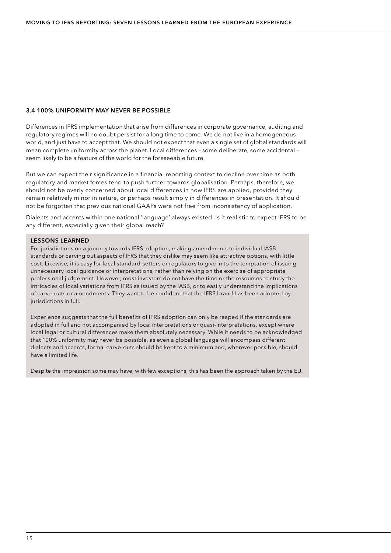### 3.4 100% UNIFORMITY MAY NEVER BE POSSIBLE

Differences in IFRS implementation that arise from differences in corporate governance, auditing and regulatory regimes will no doubt persist for a long time to come. We do not live in a homogeneous world, and just have to accept that. We should not expect that even a single set of global standards will mean complete uniformity across the planet. Local differences – some deliberate, some accidental – seem likely to be a feature of the world for the foreseeable future.

But we can expect their significance in a financial reporting context to decline over time as both regulatory and market forces tend to push further towards globalisation. Perhaps, therefore, we should not be overly concerned about local differences in how IFRS are applied, provided they remain relatively minor in nature, or perhaps result simply in differences in presentation. It should not be forgotten that previous national GAAPs were not free from inconsistency of application.

Dialects and accents within one national 'language' always existed. Is it realistic to expect IFRS to be any different, especially given their global reach?

### LESSONS LEARNED

For jurisdictions on a journey towards IFRS adoption, making amendments to individual IASB standards or carving out aspects of IFRS that they dislike may seem like attractive options, with little cost. Likewise, it is easy for local standard-setters or regulators to give in to the temptation of issuing unnecessary local guidance or interpretations, rather than relying on the exercise of appropriate professional judgement. However, most investors do not have the time or the resources to study the intricacies of local variations from IFRS as issued by the IASB, or to easily understand the implications of carve-outs or amendments. They want to be confident that the IFRS brand has been adopted by jurisdictions in full.

Experience suggests that the full benefits of IFRS adoption can only be reaped if the standards are adopted in full and not accompanied by local interpretations or quasi-interpretations, except where local legal or cultural differences make them absolutely necessary. While it needs to be acknowledged that 100% uniformity may never be possible, as even a global language will encompass different dialects and accents, formal carve-outs should be kept to a minimum and, wherever possible, should have a limited life.

Despite the impression some may have, with few exceptions, this has been the approach taken by the EU.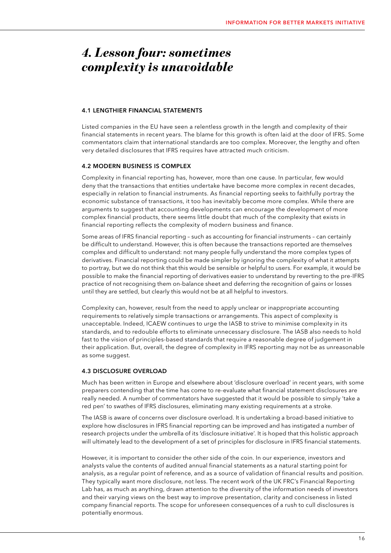# *4. Lesson four: sometimes complexity is unavoidable*

### 4.1 LENGTHIER FINANCIAL STATEMENTS

Listed companies in the EU have seen a relentless growth in the length and complexity of their financial statements in recent years. The blame for this growth is often laid at the door of IFRS. Some commentators claim that international standards are too complex. Moreover, the lengthy and often very detailed disclosures that IFRS requires have attracted much criticism.

### 4.2 MODERN BUSINESS IS COMPLEX

Complexity in financial reporting has, however, more than one cause. In particular, few would deny that the transactions that entities undertake have become more complex in recent decades, especially in relation to financial instruments. As financial reporting seeks to faithfully portray the economic substance of transactions, it too has inevitably become more complex. While there are arguments to suggest that accounting developments can encourage the development of more complex financial products, there seems little doubt that much of the complexity that exists in financial reporting reflects the complexity of modern business and finance.

Some areas of IFRS financial reporting – such as accounting for financial instruments – can certainly be difficult to understand. However, this is often because the transactions reported are themselves complex and difficult to understand: not many people fully understand the more complex types of derivatives. Financial reporting could be made simpler by ignoring the complexity of what it attempts to portray, but we do not think that this would be sensible or helpful to users. For example, it would be possible to make the financial reporting of derivatives easier to understand by reverting to the pre-IFRS practice of not recognising them on-balance sheet and deferring the recognition of gains or losses until they are settled, but clearly this would not be at all helpful to investors.

Complexity can, however, result from the need to apply unclear or inappropriate accounting requirements to relatively simple transactions or arrangements. This aspect of complexity is unacceptable. Indeed, ICAEW continues to urge the IASB to strive to minimise complexity in its standards, and to redouble efforts to eliminate unnecessary disclosure. The IASB also needs to hold fast to the vision of principles-based standards that require a reasonable degree of judgement in their application. But, overall, the degree of complexity in IFRS reporting may not be as unreasonable as some suggest.

### 4.3 DISCLOSURE OVERLOAD

Much has been written in Europe and elsewhere about 'disclosure overload' in recent years, with some preparers contending that the time has come to re-evaluate what financial statement disclosures are really needed. A number of commentators have suggested that it would be possible to simply 'take a red pen' to swathes of IFRS disclosures, eliminating many existing requirements at a stroke.

The IASB is aware of concerns over disclosure overload. It is undertaking a broad-based initiative to explore how disclosures in IFRS financial reporting can be improved and has instigated a number of research projects under the umbrella of its 'disclosure initiative'. It is hoped that this holistic approach will ultimately lead to the development of a set of principles for disclosure in IFRS financial statements.

However, it is important to consider the other side of the coin. In our experience, investors and analysts value the contents of audited annual financial statements as a natural starting point for analysis, as a regular point of reference, and as a source of validation of financial results and position. They typically want more disclosure, not less. The recent work of the UK FRC's Financial Reporting Lab has, as much as anything, drawn attention to the diversity of the information needs of investors and their varying views on the best way to improve presentation, clarity and conciseness in listed company financial reports. The scope for unforeseen consequences of a rush to cull disclosures is potentially enormous.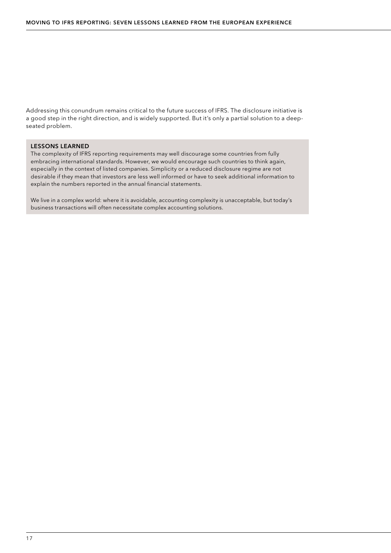Addressing this conundrum remains critical to the future success of IFRS. The disclosure initiative is a good step in the right direction, and is widely supported. But it's only a partial solution to a deepseated problem.

### LESSONS LEARNED

The complexity of IFRS reporting requirements may well discourage some countries from fully embracing international standards. However, we would encourage such countries to think again, especially in the context of listed companies. Simplicity or a reduced disclosure regime are not desirable if they mean that investors are less well informed or have to seek additional information to explain the numbers reported in the annual financial statements.

We live in a complex world: where it is avoidable, accounting complexity is unacceptable, but today's business transactions will often necessitate complex accounting solutions.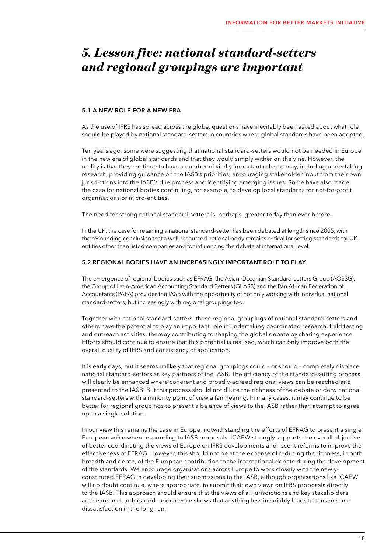# *5. Lesson five: national standard-setters and regional groupings are important*

### 5.1 A NEW ROLE FOR A NEW ERA

As the use of IFRS has spread across the globe, questions have inevitably been asked about what role should be played by national standard-setters in countries where global standards have been adopted.

Ten years ago, some were suggesting that national standard-setters would not be needed in Europe in the new era of global standards and that they would simply wither on the vine. However, the reality is that they continue to have a number of vitally important roles to play, including undertaking research, providing guidance on the IASB's priorities, encouraging stakeholder input from their own jurisdictions into the IASB's due process and identifying emerging issues. Some have also made the case for national bodies continuing, for example, to develop local standards for not-for-profit organisations or micro-entities.

The need for strong national standard-setters is, perhaps, greater today than ever before.

In the UK, the case for retaining a national standard-setter has been debated at length since 2005, with the resounding conclusion that a well-resourced national body remains critical for setting standards for UK entities other than listed companies and for influencing the debate at international level.

### 5.2 REGIONAL BODIES HAVE AN INCREASINGLY IMPORTANT ROLE TO PLAY

The emergence of regional bodies such as EFRAG, the Asian-Oceanian Standard-setters Group (AOSSG), the Group of Latin-American Accounting Standard Setters (GLASS) and the Pan African Federation of Accountants (PAFA) provides the IASB with the opportunity of not only working with individual national standard-setters, but increasingly with regional groupings too.

Together with national standard-setters, these regional groupings of national standard-setters and others have the potential to play an important role in undertaking coordinated research, field testing and outreach activities, thereby contributing to shaping the global debate by sharing experience. Efforts should continue to ensure that this potential is realised, which can only improve both the overall quality of IFRS and consistency of application.

It is early days, but it seems unlikely that regional groupings could – or should – completely displace national standard-setters as key partners of the IASB. The efficiency of the standard-setting process will clearly be enhanced where coherent and broadly-agreed regional views can be reached and presented to the IASB. But this process should not dilute the richness of the debate or deny national standard-setters with a minority point of view a fair hearing. In many cases, it may continue to be better for regional groupings to present a balance of views to the IASB rather than attempt to agree upon a single solution.

In our view this remains the case in Europe, notwithstanding the efforts of EFRAG to present a single European voice when responding to IASB proposals. ICAEW strongly supports the overall objective of better coordinating the views of Europe on IFRS developments and recent reforms to improve the effectiveness of EFRAG. However, this should not be at the expense of reducing the richness, in both breadth and depth, of the European contribution to the international debate during the development of the standards. We encourage organisations across Europe to work closely with the newlyconstituted EFRAG in developing their submissions to the IASB, although organisations like ICAEW will no doubt continue, where appropriate, to submit their own views on IFRS proposals directly to the IASB. This approach should ensure that the views of all jurisdictions and key stakeholders are heard and understood – experience shows that anything less invariably leads to tensions and dissatisfaction in the long run.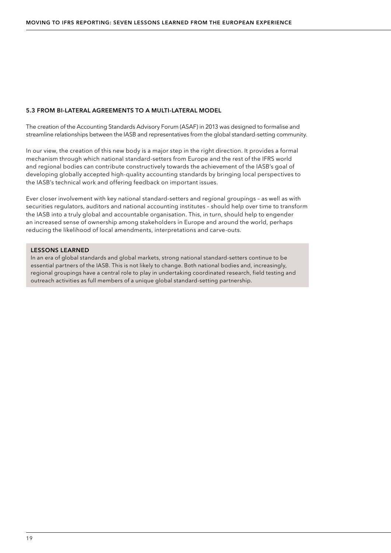### 5.3 FROM BI-LATERAL AGREEMENTS TO A MULTI-LATERAL MODEL

The creation of the Accounting Standards Advisory Forum (ASAF) in 2013 was designed to formalise and streamline relationships between the IASB and representatives from the global standard-setting community.

In our view, the creation of this new body is a major step in the right direction. It provides a formal mechanism through which national standard-setters from Europe and the rest of the IFRS world and regional bodies can contribute constructively towards the achievement of the IASB's goal of developing globally accepted high-quality accounting standards by bringing local perspectives to the IASB's technical work and offering feedback on important issues.

Ever closer involvement with key national standard-setters and regional groupings – as well as with securities regulators, auditors and national accounting institutes – should help over time to transform the IASB into a truly global and accountable organisation. This, in turn, should help to engender an increased sense of ownership among stakeholders in Europe and around the world, perhaps reducing the likelihood of local amendments, interpretations and carve-outs.

### LESSONS LEARNED

In an era of global standards and global markets, strong national standard-setters continue to be essential partners of the IASB. This is not likely to change. Both national bodies and, increasingly, regional groupings have a central role to play in undertaking coordinated research, field testing and outreach activities as full members of a unique global standard-setting partnership.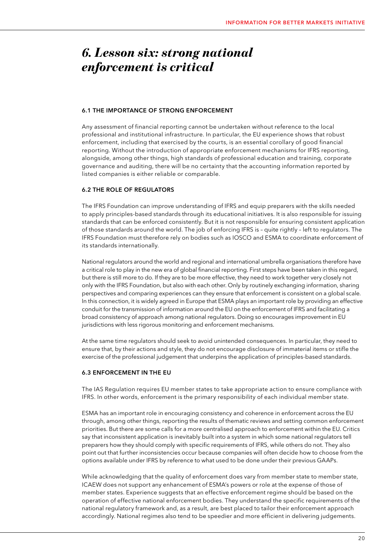# *6. Lesson six: strong national enforcement is critical*

### 6.1 THE IMPORTANCE OF STRONG ENFORCEMENT

Any assessment of financial reporting cannot be undertaken without reference to the local professional and institutional infrastructure. In particular, the EU experience shows that robust enforcement, including that exercised by the courts, is an essential corollary of good financial reporting. Without the introduction of appropriate enforcement mechanisms for IFRS reporting, alongside, among other things, high standards of professional education and training, corporate governance and auditing, there will be no certainty that the accounting information reported by listed companies is either reliable or comparable.

### 6.2 THE ROLE OF REGULATORS

The IFRS Foundation can improve understanding of IFRS and equip preparers with the skills needed to apply principles-based standards through its educational initiatives. It is also responsible for issuing standards that can be enforced consistently. But it is not responsible for ensuring consistent application of those standards around the world. The job of enforcing IFRS is – quite rightly – left to regulators. The IFRS Foundation must therefore rely on bodies such as IOSCO and ESMA to coordinate enforcement of its standards internationally.

National regulators around the world and regional and international umbrella organisations therefore have a critical role to play in the new era of global financial reporting. First steps have been taken in this regard, but there is still more to do. If they are to be more effective, they need to work together very closely not only with the IFRS Foundation, but also with each other. Only by routinely exchanging information, sharing perspectives and comparing experiences can they ensure that enforcement is consistent on a global scale. In this connection, it is widely agreed in Europe that ESMA plays an important role by providing an effective conduit for the transmission of information around the EU on the enforcement of IFRS and facilitating a broad consistency of approach among national regulators. Doing so encourages improvement in EU jurisdictions with less rigorous monitoring and enforcement mechanisms.

At the same time regulators should seek to avoid unintended consequences. In particular, they need to ensure that, by their actions and style, they do not encourage disclosure of immaterial items or stifle the exercise of the professional judgement that underpins the application of principles-based standards.

### 6.3 ENFORCEMENT IN THE EU

The IAS Regulation requires EU member states to take appropriate action to ensure compliance with IFRS. In other words, enforcement is the primary responsibility of each individual member state.

ESMA has an important role in encouraging consistency and coherence in enforcement across the EU through, among other things, reporting the results of thematic reviews and setting common enforcement priorities. But there are some calls for a more centralised approach to enforcement within the EU. Critics say that inconsistent application is inevitably built into a system in which some national regulators tell preparers how they should comply with specific requirements of IFRS, while others do not. They also point out that further inconsistencies occur because companies will often decide how to choose from the options available under IFRS by reference to what used to be done under their previous GAAPs.

While acknowledging that the quality of enforcement does vary from member state to member state, ICAEW does not support any enhancement of ESMA's powers or role at the expense of those of member states. Experience suggests that an effective enforcement regime should be based on the operation of effective national enforcement bodies. They understand the specific requirements of the national regulatory framework and, as a result, are best placed to tailor their enforcement approach accordingly. National regimes also tend to be speedier and more efficient in delivering judgements.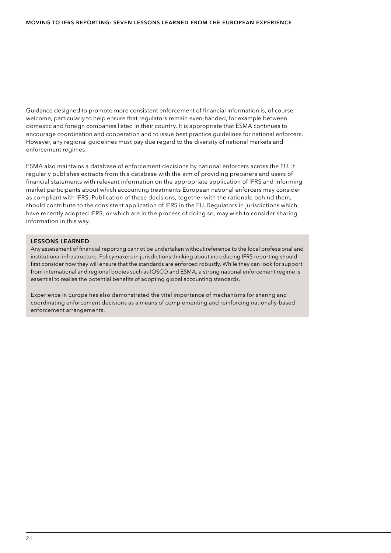Guidance designed to promote more consistent enforcement of financial information is, of course, welcome, particularly to help ensure that regulators remain even-handed, for example between domestic and foreign companies listed in their country. It is appropriate that ESMA continues to encourage coordination and cooperation and to issue best practice guidelines for national enforcers. However, any regional guidelines must pay due regard to the diversity of national markets and enforcement regimes.

ESMA also maintains a database of enforcement decisions by national enforcers across the EU. It regularly publishes extracts from this database with the aim of providing preparers and users of financial statements with relevant information on the appropriate application of IFRS and informing market participants about which accounting treatments European national enforcers may consider as compliant with IFRS. Publication of these decisions, together with the rationale behind them, should contribute to the consistent application of IFRS in the EU. Regulators in jurisdictions which have recently adopted IFRS, or which are in the process of doing so, may wish to consider sharing information in this way.

### LESSONS LEARNED

Any assessment of financial reporting cannot be undertaken without reference to the local professional and institutional infrastructure. Policymakers in jurisdictions thinking about introducing IFRS reporting should first consider how they will ensure that the standards are enforced robustly. While they can look for support from international and regional bodies such as IOSCO and ESMA, a strong national enforcement regime is essential to realise the potential benefits of adopting global accounting standards.

Experience in Europe has also demonstrated the vital importance of mechanisms for sharing and coordinating enforcement decisions as a means of complementing and reinforcing nationally-based enforcement arrangements.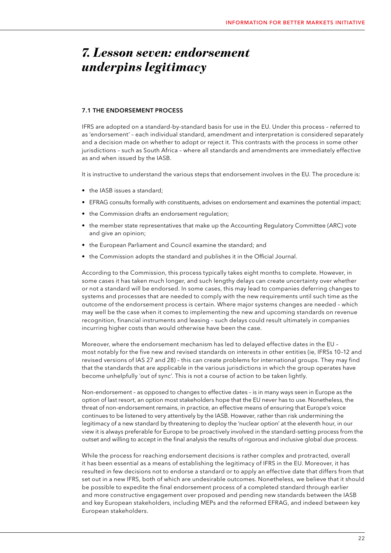# *7. Lesson seven: endorsement underpins legitimacy*

### 7.1 THE ENDORSEMENT PROCESS

IFRS are adopted on a standard-by-standard basis for use in the EU. Under this process – referred to as 'endorsement' – each individual standard, amendment and interpretation is considered separately and a decision made on whether to adopt or reject it. This contrasts with the process in some other jurisdictions – such as South Africa – where all standards and amendments are immediately effective as and when issued by the IASB.

It is instructive to understand the various steps that endorsement involves in the EU. The procedure is:

- the IASB issues a standard;
- EFRAG consults formally with constituents, advises on endorsement and examines the potential impact;
- the Commission drafts an endorsement regulation;
- the member state representatives that make up the Accounting Regulatory Committee (ARC) vote and give an opinion;
- the European Parliament and Council examine the standard; and
- the Commission adopts the standard and publishes it in the Official Journal.

According to the Commission, this process typically takes eight months to complete. However, in some cases it has taken much longer, and such lengthy delays can create uncertainty over whether or not a standard will be endorsed. In some cases, this may lead to companies deferring changes to systems and processes that are needed to comply with the new requirements until such time as the outcome of the endorsement process is certain. Where major systems changes are needed – which may well be the case when it comes to implementing the new and upcoming standards on revenue recognition, financial instruments and leasing – such delays could result ultimately in companies incurring higher costs than would otherwise have been the case.

Moreover, where the endorsement mechanism has led to delayed effective dates in the EU – most notably for the five new and revised standards on interests in other entities (ie, IFRSs 10–12 and revised versions of IAS 27 and 28) – this can create problems for international groups. They may find that the standards that are applicable in the various jurisdictions in which the group operates have become unhelpfully 'out of sync'. This is not a course of action to be taken lightly.

Non-endorsement – as opposed to changes to effective dates – is in many ways seen in Europe as the option of last resort, an option most stakeholders hope that the EU never has to use. Nonetheless, the threat of non-endorsement remains, in practice, an effective means of ensuring that Europe's voice continues to be listened to very attentively by the IASB. However, rather than risk undermining the legitimacy of a new standard by threatening to deploy the 'nuclear option' at the eleventh hour, in our view it is always preferable for Europe to be proactively involved in the standard-setting process from the outset and willing to accept in the final analysis the results of rigorous and inclusive global due process.

While the process for reaching endorsement decisions is rather complex and protracted, overall it has been essential as a means of establishing the legitimacy of IFRS in the EU. Moreover, it has resulted in few decisions not to endorse a standard or to apply an effective date that differs from that set out in a new IFRS, both of which are undesirable outcomes. Nonetheless, we believe that it should be possible to expedite the final endorsement process of a completed standard through earlier and more constructive engagement over proposed and pending new standards between the IASB and key European stakeholders, including MEPs and the reformed EFRAG, and indeed between key European stakeholders.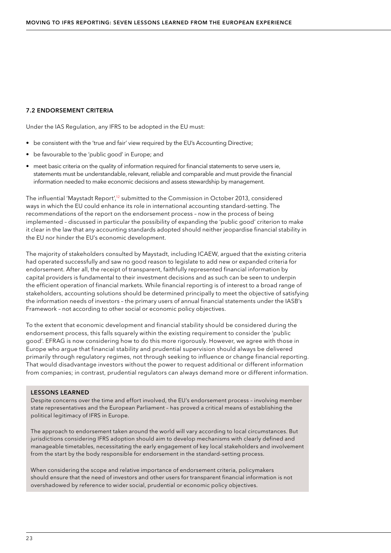### 7.2 ENDORSEMENT CRITERIA

Under the IAS Regulation, any IFRS to be adopted in the EU must:

- be consistent with the 'true and fair' view required by the EU's Accounting Directive;
- be favourable to the 'public good' in Europe; and
- meet basic criteria on the quality of information required for financial statements to serve users ie, statements must be understandable, relevant, reliable and comparable and must provide the financial information needed to make economic decisions and assess stewardship by management.

The influential 'Maystadt Report',<sup>12</sup> submitted to the Commission in October 2013, considered ways in which the EU could enhance its role in international accounting standard-setting. The recommendations of the report on the endorsement process – now in the process of being implemented – discussed in particular the possibility of expanding the 'public good' criterion to make it clear in the law that any accounting standards adopted should neither jeopardise financial stability in the EU nor hinder the EU's economic development.

The majority of stakeholders consulted by Maystadt, including ICAEW, argued that the existing criteria had operated successfully and saw no good reason to legislate to add new or expanded criteria for endorsement. After all, the receipt of transparent, faithfully represented financial information by capital providers is fundamental to their investment decisions and as such can be seen to underpin the efficient operation of financial markets. While financial reporting is of interest to a broad range of stakeholders, accounting solutions should be determined principally to meet the objective of satisfying the information needs of investors – the primary users of annual financial statements under the IASB's Framework – not according to other social or economic policy objectives.

To the extent that economic development and financial stability should be considered during the endorsement process, this falls squarely within the existing requirement to consider the 'public good'. EFRAG is now considering how to do this more rigorously. However, we agree with those in Europe who argue that financial stability and prudential supervision should always be delivered primarily through regulatory regimes, not through seeking to influence or change financial reporting. That would disadvantage investors without the power to request additional or different information from companies; in contrast, prudential regulators can always demand more or different information.

### LESSONS LEARNED

Despite concerns over the time and effort involved, the EU's endorsement process – involving member state representatives and the European Parliament – has proved a critical means of establishing the political legitimacy of IFRS in Europe.

The approach to endorsement taken around the world will vary according to local circumstances. But jurisdictions considering IFRS adoption should aim to develop mechanisms with clearly defined and manageable timetables, necessitating the early engagement of key local stakeholders and involvement from the start by the body responsible for endorsement in the standard-setting process.

When considering the scope and relative importance of endorsement criteria, policymakers should ensure that the need of investors and other users for transparent financial information is not overshadowed by reference to wider social, prudential or economic policy objectives.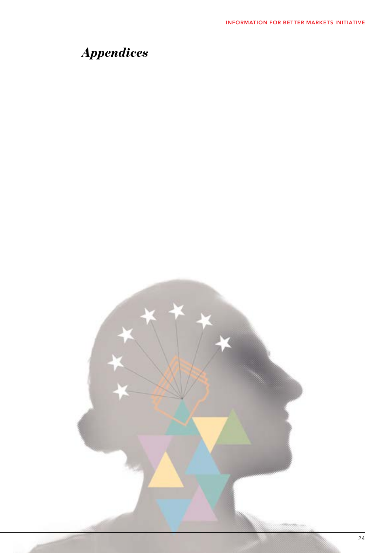# *Appendices*

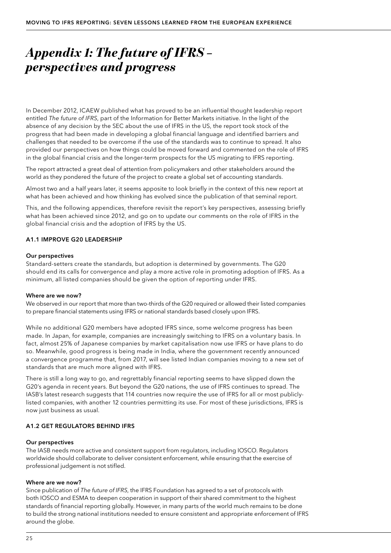# *Appendix 1: The future of IFRS – perspectives and progress*

In December 2012, ICAEW published what has proved to be an influential thought leadership report entitled *The future of IFRS*, part of the Information for Better Markets initiative. In the light of the absence of any decision by the SEC about the use of IFRS in the US, the report took stock of the progress that had been made in developing a global financial language and identified barriers and challenges that needed to be overcome if the use of the standards was to continue to spread. It also provided our perspectives on how things could be moved forward and commented on the role of IFRS in the global financial crisis and the longer-term prospects for the US migrating to IFRS reporting.

The report attracted a great deal of attention from policymakers and other stakeholders around the world as they pondered the future of the project to create a global set of accounting standards.

Almost two and a half years later, it seems apposite to look briefly in the context of this new report at what has been achieved and how thinking has evolved since the publication of that seminal report.

This, and the following appendices, therefore revisit the report's key perspectives, assessing briefly what has been achieved since 2012, and go on to update our comments on the role of IFRS in the global financial crisis and the adoption of IFRS by the US.

### A1.1 IMPROVE G20 LEADERSHIP

### Our perspectives

Standard-setters create the standards, but adoption is determined by governments. The G20 should end its calls for convergence and play a more active role in promoting adoption of IFRS. As a minimum, all listed companies should be given the option of reporting under IFRS.

### Where are we now?

We observed in our report that more than two-thirds of the G20 required or allowed their listed companies to prepare financial statements using IFRS or national standards based closely upon IFRS.

While no additional G20 members have adopted IFRS since, some welcome progress has been made. In Japan, for example, companies are increasingly switching to IFRS on a voluntary basis. In fact, almost 25% of Japanese companies by market capitalisation now use IFRS or have plans to do so. Meanwhile, good progress is being made in India, where the government recently announced a convergence programme that, from 2017, will see listed Indian companies moving to a new set of standards that are much more aligned with IFRS.

There is still a long way to go, and regrettably financial reporting seems to have slipped down the G20's agenda in recent years. But beyond the G20 nations, the use of IFRS continues to spread. The IASB's latest research suggests that 114 countries now require the use of IFRS for all or most publiclylisted companies, with another 12 countries permitting its use. For most of these jurisdictions, IFRS is now just business as usual.

### A1.2 GET REGULATORS BEHIND IFRS

### Our perspectives

The IASB needs more active and consistent support from regulators, including IOSCO. Regulators worldwide should collaborate to deliver consistent enforcement, while ensuring that the exercise of professional judgement is not stifled.

### Where are we now?

Since publication of *The future of IFRS*, the IFRS Foundation has agreed to a set of protocols with both IOSCO and ESMA to deepen cooperation in support of their shared commitment to the highest standards of financial reporting globally. However, in many parts of the world much remains to be done to build the strong national institutions needed to ensure consistent and appropriate enforcement of IFRS around the globe.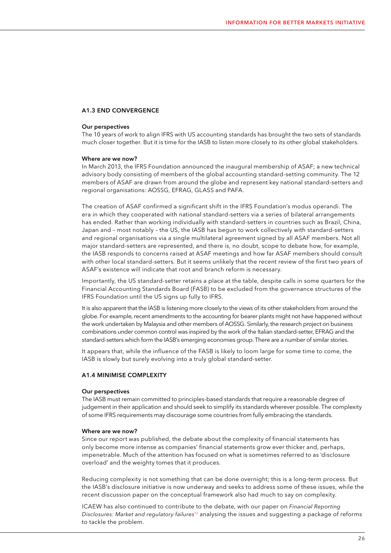### A1.3 END CONVERGENCE

#### Our perspectives

The 10 years of work to align IFRS with US accounting standards has brought the two sets of standards much closer together. But it is time for the IASB to listen more closely to its other global stakeholders.

#### Where are we now?

In March 2013, the IFRS Foundation announced the inaugural membership of ASAF; a new technical advisory body consisting of members of the global accounting standard-setting community. The 12 members of ASAF are drawn from around the globe and represent key national standard-setters and regional organisations: AOSSG, EFRAG, GLASS and PAFA.

The creation of ASAF confirmed a significant shift in the IFRS Foundation's modus operandi. The era in which they cooperated with national standard-setters via a series of bilateral arrangements has ended. Rather than working individually with standard-setters in countries such as Brazil, China, Japan and – most notably – the US, the IASB has begun to work collectively with standard-setters and regional organisations via a single multilateral agreement signed by all ASAF members. Not all major standard-setters are represented, and there is, no doubt, scope to debate how, for example, the IASB responds to concerns raised at ASAF meetings and how far ASAF members should consult with other local standard-setters. But it seems unlikely that the recent review of the first two years of ASAF's existence will indicate that root and branch reform is necessary.

Importantly, the US standard-setter retains a place at the table, despite calls in some quarters for the Financial Accounting Standards Board (FASB) to be excluded from the governance structures of the IFRS Foundation until the US signs up fully to IFRS.

It is also apparent that the IASB is listening more closely to the views of its other stakeholders from around the globe. For example, recent amendments to the accounting for bearer plants might not have happened without the work undertaken by Malaysia and other members of AOSSG. Similarly, the research project on business combinations under common control was inspired by the work of the Italian standard-setter, EFRAG and the standard-setters which form the IASB's emerging economies group. There are a number of similar stories.

It appears that, while the influence of the FASB is likely to loom large for some time to come, the IASB is slowly but surely evolving into a truly global standard-setter.

### A1.4 MINIMISE COMPLEXITY

#### Our perspectives

The IASB must remain committed to principles-based standards that require a reasonable degree of judgement in their application and should seek to simplify its standards wherever possible. The complexity of some IFRS requirements may discourage some countries from fully embracing the standards.

#### Where are we now?

Since our report was published, the debate about the complexity of financial statements has only become more intense as companies' financial statements grow ever thicker and, perhaps, impenetrable. Much of the attention has focused on what is sometimes referred to as 'disclosure overload' and the weighty tomes that it produces.

Reducing complexity is not something that can be done overnight; this is a long-term process. But the IASB's disclosure initiative is now underway and seeks to address some of these issues, while the recent discussion paper on the conceptual framework also had much to say on complexity.

ICAEW has also continued to contribute to the debate, with our paper on *[Financial Reporting](#page-30-0)  [Disclosures: Market and regulatory failures](#page-30-0)*13 analysing the issues and suggesting a package of reforms to tackle the problem.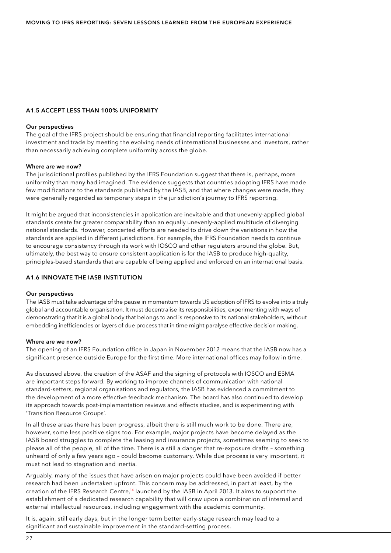### A1.5 ACCEPT LESS THAN 100% UNIFORMITY

### Our perspectives

The goal of the IFRS project should be ensuring that financial reporting facilitates international investment and trade by meeting the evolving needs of international businesses and investors, rather than necessarily achieving complete uniformity across the globe.

### Where are we now?

The jurisdictional profiles published by the IFRS Foundation suggest that there is, perhaps, more uniformity than many had imagined. The evidence suggests that countries adopting IFRS have made few modifications to the standards published by the IASB, and that where changes were made, they were generally regarded as temporary steps in the jurisdiction's journey to IFRS reporting.

It might be argued that inconsistencies in application are inevitable and that unevenly-applied global standards create far greater comparability than an equally unevenly-applied multitude of diverging national standards. However, concerted efforts are needed to drive down the variations in how the standards are applied in different jurisdictions. For example, the IFRS Foundation needs to continue to encourage consistency through its work with IOSCO and other regulators around the globe. But, ultimately, the best way to ensure consistent application is for the IASB to produce high-quality, principles-based standards that are capable of being applied and enforced on an international basis.

### A1.6 INNOVATE THE IASB INSTITUTION

### Our perspectives

The IASB must take advantage of the pause in momentum towards US adoption of IFRS to evolve into a truly global and accountable organisation. It must decentralise its responsibilities, experimenting with ways of demonstrating that it is a global body that belongs to and is responsive to its national stakeholders, without embedding inefficiencies or layers of due process that in time might paralyse effective decision making.

### Where are we now?

The opening of an IFRS Foundation office in Japan in November 2012 means that the IASB now has a significant presence outside Europe for the first time. More international offices may follow in time.

As discussed above, the creation of the ASAF and the signing of protocols with IOSCO and ESMA are important steps forward. By working to improve channels of communication with national standard-setters, regional organisations and regulators, the IASB has evidenced a commitment to the development of a more effective feedback mechanism. The board has also continued to develop its approach towards post-implementation reviews and effects studies, and is experimenting with 'Transition Resource Groups'.

In all these areas there has been progress, albeit there is still much work to be done. There are, however, some less positive signs too. For example, major projects have become delayed as the IASB board struggles to complete the leasing and insurance projects, sometimes seeming to seek to please all of the people, all of the time. There is a still a danger that re-exposure drafts – something unheard of only a few years ago – could become customary. While due process is very important, it must not lead to stagnation and inertia.

Arguably, many of the issues that have arisen on major projects could have been avoided if better research had been undertaken upfront. This concern may be addressed, in part at least, by the creation of the IFRS Research Centre,<sup>14</sup> launched by the IASB in April 2013. It aims to support the establishment of a dedicated research capability that will draw upon a combination of internal and external intellectual resources, including engagement with the academic community.

It is, again, still early days, but in the longer term better early-stage research may lead to a significant and sustainable improvement in the standard-setting process.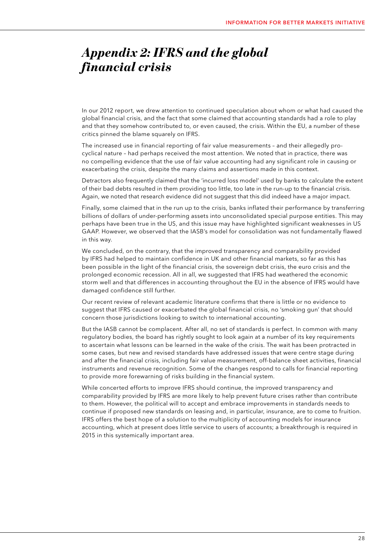# *Appendix 2: IFRS and the global financial crisis*

In our 2012 report, we drew attention to continued speculation about whom or what had caused the global financial crisis, and the fact that some claimed that accounting standards had a role to play and that they somehow contributed to, or even caused, the crisis. Within the EU, a number of these critics pinned the blame squarely on IFRS.

The increased use in financial reporting of fair value measurements – and their allegedly procyclical nature – had perhaps received the most attention. We noted that in practice, there was no compelling evidence that the use of fair value accounting had any significant role in causing or exacerbating the crisis, despite the many claims and assertions made in this context.

Detractors also frequently claimed that the 'incurred loss model' used by banks to calculate the extent of their bad debts resulted in them providing too little, too late in the run-up to the financial crisis. Again, we noted that research evidence did not suggest that this did indeed have a major impact.

Finally, some claimed that in the run up to the crisis, banks inflated their performance by transferring billions of dollars of under-performing assets into unconsolidated special purpose entities. This may perhaps have been true in the US, and this issue may have highlighted significant weaknesses in US GAAP. However, we observed that the IASB's model for consolidation was not fundamentally flawed in this way.

We concluded, on the contrary, that the improved transparency and comparability provided by IFRS had helped to maintain confidence in UK and other financial markets, so far as this has been possible in the light of the financial crisis, the sovereign debt crisis, the euro crisis and the prolonged economic recession. All in all, we suggested that IFRS had weathered the economic storm well and that differences in accounting throughout the EU in the absence of IFRS would have damaged confidence still further.

Our recent review of relevant academic literature confirms that there is little or no evidence to suggest that IFRS caused or exacerbated the global financial crisis, no 'smoking gun' that should concern those jurisdictions looking to switch to international accounting.

But the IASB cannot be complacent. After all, no set of standards is perfect. In common with many regulatory bodies, the board has rightly sought to look again at a number of its key requirements to ascertain what lessons can be learned in the wake of the crisis. The wait has been protracted in some cases, but new and revised standards have addressed issues that were centre stage during and after the financial crisis, including fair value measurement, off-balance sheet activities, financial instruments and revenue recognition. Some of the changes respond to calls for financial reporting to provide more forewarning of risks building in the financial system.

While concerted efforts to improve IFRS should continue, the improved transparency and comparability provided by IFRS are more likely to help prevent future crises rather than contribute to them. However, the political will to accept and embrace improvements in standards needs to continue if proposed new standards on leasing and, in particular, insurance, are to come to fruition. IFRS offers the best hope of a solution to the multiplicity of accounting models for insurance accounting, which at present does little service to users of accounts; a breakthrough is required in 2015 in this systemically important area.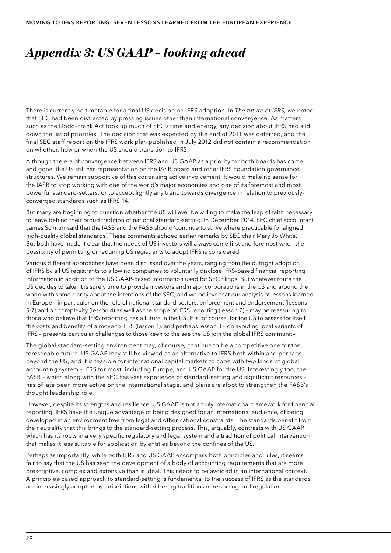# *Appendix 3: US GAAP – looking ahead*

There is currently no timetable for a final US decision on IFRS adoption. In *The future of IFRS*, we noted that SEC had been distracted by pressing issues other than international convergence. As matters such as the Dodd-Frank Act took up much of SEC's time and energy, any decision about IFRS had slid down the list of priorities. The decision that was expected by the end of 2011 was deferred, and the final SEC staff report on the IFRS work plan published in July 2012 did not contain a recommendation on whether, how or when the US should transition to IFRS.

Although the era of convergence between IFRS and US GAAP as a priority for both boards has come and gone, the US still has representation on the IASB board and other IFRS Foundation governance structures. We remain supportive of this continuing active involvement. It would make no sense for the IASB to stop working with one of the world's major economies and one of its foremost and most powerful standard-setters, or to accept lightly any trend towards divergence in relation to previouslyconverged standards such as IFRS 14.

But many are beginning to question whether the US will ever be willing to make the leap of faith necessary to leave behind their proud tradition of national standard-setting. In December 2014, SEC chief accountant James Schnurr said that the IASB and the FASB should 'continue to strive where practicable for aligned high-quality global standards'. These comments echoed earlier remarks by SEC chair Mary Jo White. But both have made it clear that the needs of US investors will always come first and foremost when the possibility of permitting or requiring US registrants to adopt IFRS is considered.

Various different approaches have been discussed over the years, ranging from the outright adoption of IFRS by all US registrants to allowing companies to voluntarily disclose IFRS-based financial reporting information in addition to the US GAAP-based information used for SEC filings. But whatever route the US decides to take, it is surely time to provide investors and major corporations in the US and around the world with some clarity about the intentions of the SEC, and we believe that our analysis of lessons learned in Europe – in particular on the role of national standard-setters, enforcement and endorsement (lessons 5-7) and on complexity (lesson 4) as well as the scope of IFRS reporting (lesson 2) – may be reassuring to those who believe that IFRS reporting has a future in the US. It is, of course, for the US to assess for itself the costs and benefits of a move to IFRS (lesson 1), and perhaps lesson 3 – on avoiding local variants of IFRS – presents particular challenges to those keen to the see the US join the global IFRS community.

The global standard-setting environment may, of course, continue to be a competitive one for the foreseeable future. US GAAP may still be viewed as an alternative to IFRS both within and perhaps beyond the US, and it is feasible for international capital markets to cope with two kinds of global accounting system – IFRS for most, including Europe, and US GAAP for the US. Interestingly too, the FASB – which along with the SEC has vast experience of standard-setting and significant resources – has of late been more active on the international stage, and plans are afoot to strengthen the FASB's thought leadership role.

However, despite its strengths and resilience, US GAAP is not a truly international framework for financial reporting. IFRS have the unique advantage of being designed for an international audience, of being developed in an environment free from legal and other national constraints. The standards benefit from the neutrality that this brings to the standard-setting process. This, arguably, contrasts with US GAAP, which has its roots in a very specific regulatory and legal system and a tradition of political intervention that makes it less suitable for application by entities beyond the confines of the US.

Perhaps as importantly, while both IFRS and US GAAP encompass both principles and rules, it seems fair to say that the US has seen the development of a body of accounting requirements that are more prescriptive, complex and extensive than is ideal. This needs to be avoided in an international context. A principles-based approach to standard-setting is fundamental to the success of IFRS as the standards are increasingly adopted by jurisdictions with differing traditions of reporting and regulation.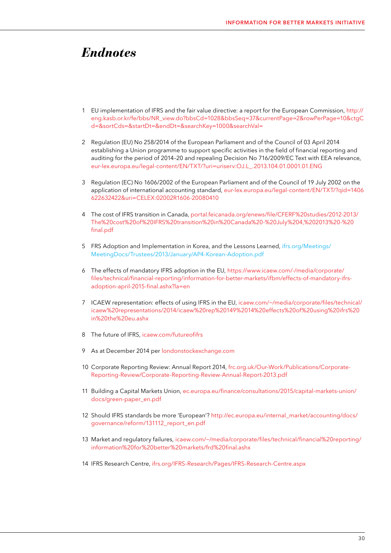## <span id="page-30-0"></span>*Endnotes*

- 1 EU implementation of IFRS and the fair value directive: a report for the European Commission, [http://](http://eng.kasb.or.kr/fe/bbs/NR_view.do?bbsCd=1028&bbsSeq=37¤tPage=2&rowPerPage=10&ctgCd=&sortCds=&startDt=&endDt=&searchKey=1000&searchVal=) [eng.kasb.or.kr/fe/bbs/NR\\_view.do?bbsCd=1028&bbsSeq=37&currentPage=2&rowPerPage=10&ctgC](http://eng.kasb.or.kr/fe/bbs/NR_view.do?bbsCd=1028&bbsSeq=37¤tPage=2&rowPerPage=10&ctgCd=&sortCds=&startDt=&endDt=&searchKey=1000&searchVal=) [d=&sortCds=&startDt=&endDt=&searchKey=1000&searchVal=](http://eng.kasb.or.kr/fe/bbs/NR_view.do?bbsCd=1028&bbsSeq=37¤tPage=2&rowPerPage=10&ctgCd=&sortCds=&startDt=&endDt=&searchKey=1000&searchVal=)
- 2 Regulation (EU) No 258/2014 of the European Parliament and of the Council of 03 April 2014 establishing a Union programme to support specific activities in the field of financial reporting and auditing for the period of 2014–20 and repealing Decision No 716/2009/EC Text with EEA relevance, [eur-lex.europa.eu/legal-content/EN/TXT/?uri=uriserv:OJ.L\\_.2013.104.01.0001.01.ENG](http://eur-lex.europa.eu/legal-content/EN/TXT/?uri=uriserv:OJ.L_.2013.104.01.0001.01.ENG)
- 3 Regulation (EC) No 1606/2002 of the European Parliament and of the Council of 19 July 2002 on the application of international accounting standard, [eur-lex.europa.eu/legal-content/EN/TXT/?qid=1406](http://eur-lex.europa.eu/legal-content/EN/TXT/?qid=1406622632422&uri=CELEX:02002R1606-20080410) [622632422&uri=CELEX:02002R1606-20080410](http://eur-lex.europa.eu/legal-content/EN/TXT/?qid=1406622632422&uri=CELEX:02002R1606-20080410)
- 4 The cost of IFRS transition in Canada, [portal.feicanada.org/enews/file/CFERF%20studies/2012-2013/](https://www.feicanada.org/enews/file/CFERF%20studies/2012-2013/The%20cost%20of%20IFRS%20transition%20in%20Canada%20-%20July%204,%202013%20-%20final.pdf) [The%20cost%20of%20IFRS%20transition%20in%20Canada%20-%20July%204,%202013%20-%20](https://www.feicanada.org/enews/file/CFERF%20studies/2012-2013/The%20cost%20of%20IFRS%20transition%20in%20Canada%20-%20July%204,%202013%20-%20final.pdf) [final.pdf](https://www.feicanada.org/enews/file/CFERF%20studies/2012-2013/The%20cost%20of%20IFRS%20transition%20in%20Canada%20-%20July%204,%202013%20-%20final.pdf)
- 5 FRS Adoption and Implementation in Korea, and the Lessons Learned, [ifrs.org/Meetings/](http://www.ifrs.org/news-and-events/2016/06/five-years-on-korea-sees-benefit-of-ifrs-adoption/) [MeetingDocs/Trustees/2013/January/AP4-Korean-Adoption.pdf](http://www.ifrs.org/news-and-events/2016/06/five-years-on-korea-sees-benefit-of-ifrs-adoption/)
- 6 The effects of mandatory IFRS adoption in the EU, [https://www.icaew.com/-/media/corporate/](https://www.icaew.com/-/media/corporate/files/technical/financial-reporting/information-for-better-markets/ifbm/effects-of-mandatory-ifrs-adoption-april-2015-final.ashx?la=en) [files/technical/financial-reporting/information-for-better-markets/ifbm/effects-of-mandatory-ifrs](https://www.icaew.com/-/media/corporate/files/technical/financial-reporting/information-for-better-markets/ifbm/effects-of-mandatory-ifrs-adoption-april-2015-final.ashx?la=en)[adoption-april-2015-final.ashx?la=en](https://www.icaew.com/-/media/corporate/files/technical/financial-reporting/information-for-better-markets/ifbm/effects-of-mandatory-ifrs-adoption-april-2015-final.ashx?la=en)
- 7 ICAEW representation: effects of using IFRS in the EU, [icaew.com/~/media/corporate/files/technical/](https://www.icaew.com/~/media/corporate/files/technical/icaew%20representations/2014/icaew%20rep%20149%2014%20effects%20of%20using%20ifrs%20in%20the%20eu.ashx) [icaew%20representations/2014/icaew%20rep%20149%2014%20effects%20of%20using%20ifrs%20](https://www.icaew.com/~/media/corporate/files/technical/icaew%20representations/2014/icaew%20rep%20149%2014%20effects%20of%20using%20ifrs%20in%20the%20eu.ashx) [in%20the%20eu.ashx](https://www.icaew.com/~/media/corporate/files/technical/icaew%20representations/2014/icaew%20rep%20149%2014%20effects%20of%20using%20ifrs%20in%20the%20eu.ashx)
- 8 The future of IFRS, [icaew.com/futureofifrs](https://www.icaew.com/en/technical/financial-reporting/ifrs/future-of-ifrs)
- 9 As at December 2014 per [londonstockexchange.com](http://www.londonstockexchange.com/home/homepage.htm)
- 10 Corporate Reporting Review: Annual Report 2014, [frc.org.uk/Our-Work/Publications/Corporate-](http://frc.org.uk/getattachment/c3572132-fd21-4cb3-b62f-05f0bd8d11f6/Annual-report-FINAL-Vs2.pdf)[Reporting-Review/Corporate-Reporting-Review-Annual-Report-2013.pdf](http://frc.org.uk/getattachment/c3572132-fd21-4cb3-b62f-05f0bd8d11f6/Annual-report-FINAL-Vs2.pdf)
- 11 Building a Capital Markets Union, [ec.europa.eu/finance/consultations/2015/capital-markets-union/](http://ec.europa.eu/finance/consultations/2015/capital-markets-union/docs/green-paper_en.pdf) [docs/green-paper\\_en.pdf](http://ec.europa.eu/finance/consultations/2015/capital-markets-union/docs/green-paper_en.pdf)
- 12 Should IFRS standards be more 'European'? [http://ec.europa.eu/internal\\_market/accounting/docs/](http://ec.europa.eu/internal_market/accounting/docs/governance/reform/131112_report_en.pdf) [governance/reform/131112\\_report\\_en.pdf](http://ec.europa.eu/internal_market/accounting/docs/governance/reform/131112_report_en.pdf)
- 13 Market and regulatory failures, [icaew.com/~/media/corporate/files/technical/financial%20reporting/](https://www.icaew.com/~/media/corporate/files/technical/financial%20reporting/information%20for%20better%20markets/frd%20final.ashx) [information%20for%20better%20markets/frd%20final.ashx](https://www.icaew.com/~/media/corporate/files/technical/financial%20reporting/information%20for%20better%20markets/frd%20final.ashx)
- 14 IFRS Research Centre, [ifrs.org/IFRS-Research/Pages/IFRS-Research-Centre.aspx](http://www.ifrs.org/groups/ifrs-advisory-council/)